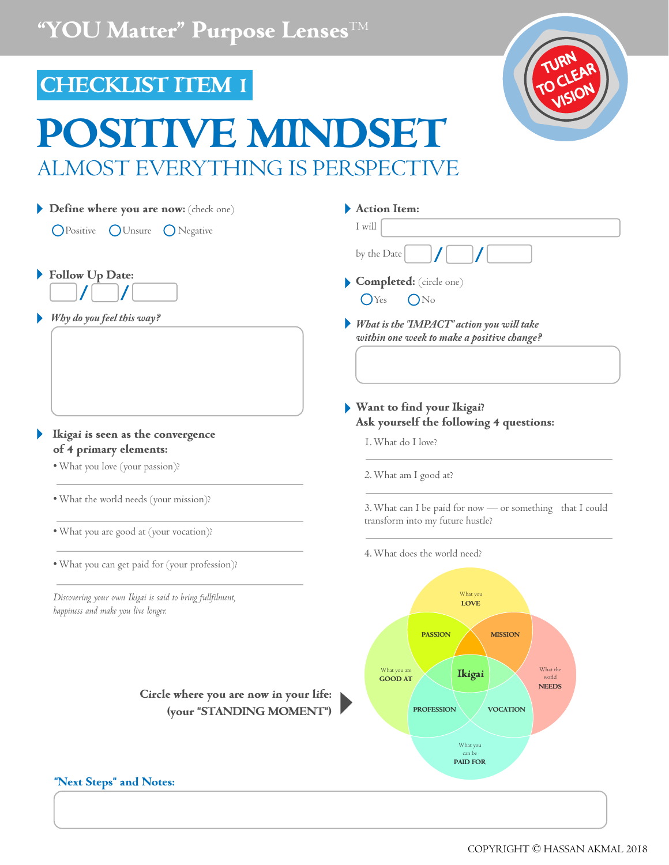## **CHECKLIST ITEM 1**

Þ

# **POWE MINDS** ALMOST EVERYTHING IS PERSPECTIVE



#### COPYRIGHT © HASSAN AKMAL 2018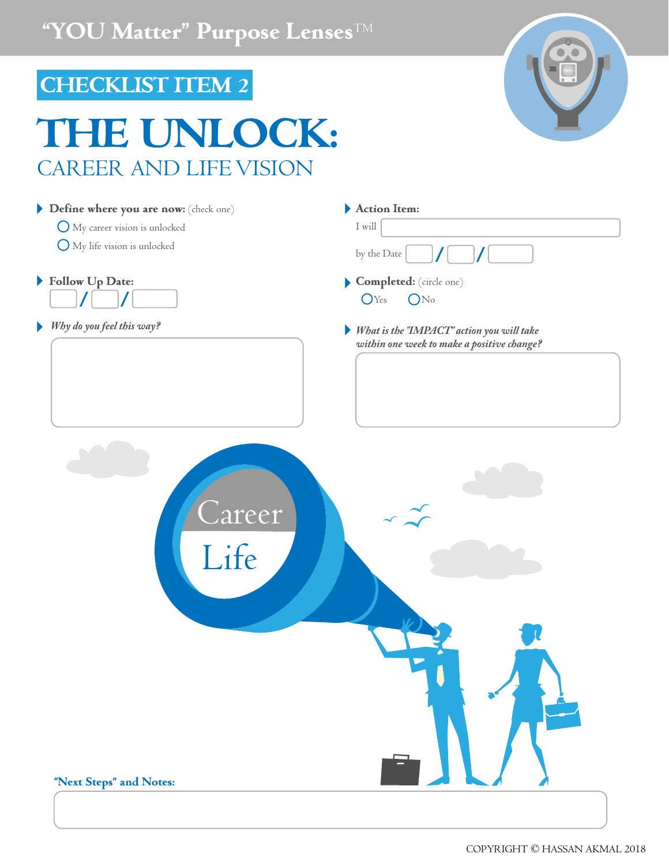# **CHECKLIST ITEM 2**

# **THE UNLOCK:** CAREER AND LIFE VISION

| Define where you are now: (check one)     | Action Item:                                                                            |
|-------------------------------------------|-----------------------------------------------------------------------------------------|
| O My career vision is unlocked            | I will                                                                                  |
| O My life vision is unlocked              | by the Date                                                                             |
| Follow Up Date:                           | Completed: (circle one)                                                                 |
|                                           | $OY_{es}$<br>ON <sub>o</sub>                                                            |
| Why do you feel this way?                 | What is the "IMPACT" action you will take<br>within one week to make a positive change? |
|                                           |                                                                                         |
| Lareer<br>Life<br>"Next Steps" and Notes: |                                                                                         |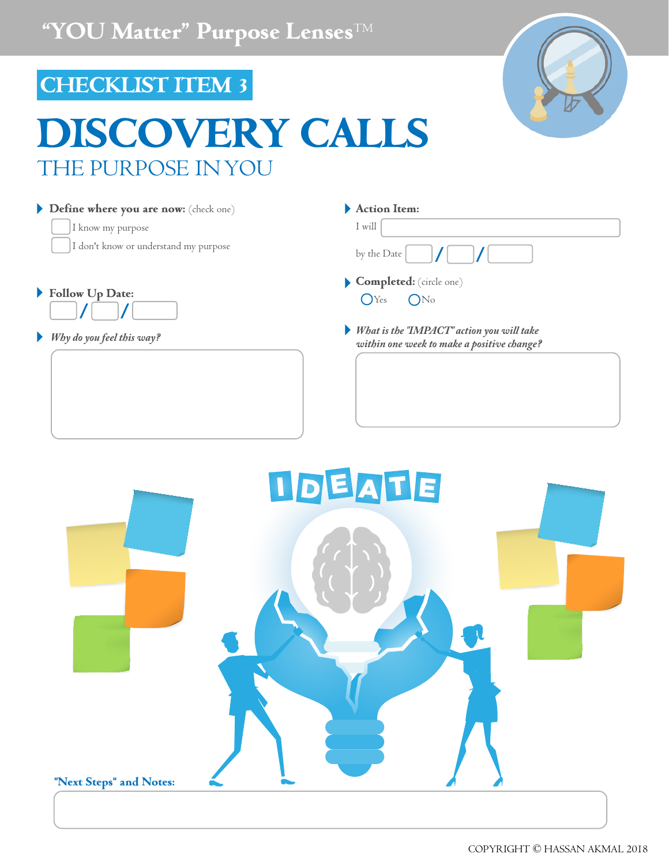## **CHECKLIST ITEM 3**

**Define where you are now:** (check one)

I don't know or understand my purpose

I know my purpose

**Follow Up Date:**

# **DISCOVERY CALLS** THE PURPOSE IN YOU

|             | Action Item: |  |  |  |
|-------------|--------------|--|--|--|
| by the Date | I will       |  |  |  |

- **Completed:** (circle one)  $O$ Yes  $O$ No
- *Why do you feel this way? What is the "IMPACT" action you will take within one week to make a positive change?*

**IDEATE "Next Steps" and Notes:**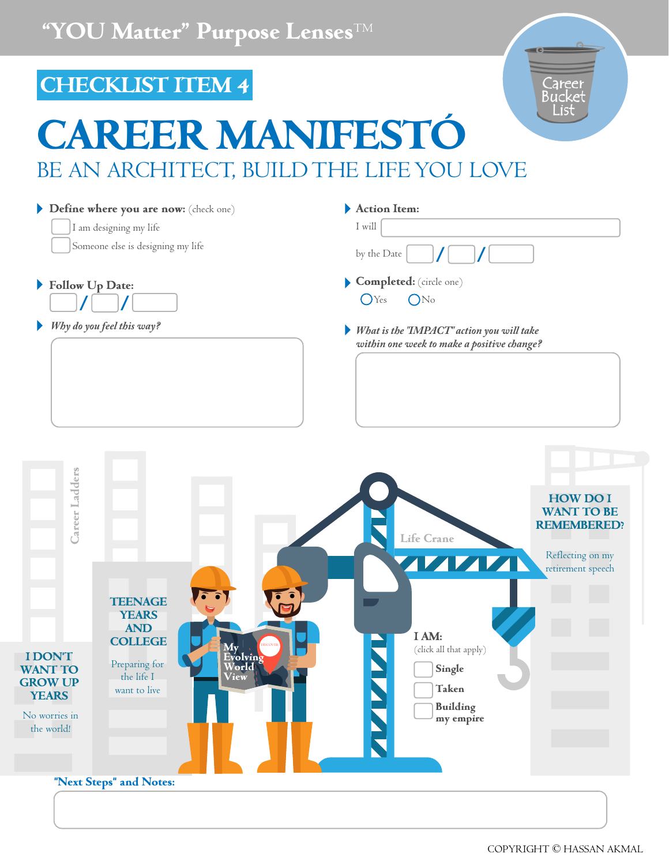#### **CHECKLIST ITEM 4** Career<br>Bucket List **CAREER MANIFESTÓ** BE AN ARCHITECT, BUILD THE LIFE YOU LOVE **Action Item: Define where you are now:** (check one) I will I am designing my life Someone else is designing my life by the Date **Follow Up Date: Completed:** (circle one) Þ  $O$ Yes  $O$ No *Why do you feel this way? What is the "IMPACT" action you will take*  Þ *within one week to make a positive change?* Career Ladders **Career Ladders HOW DO I WANT TO BE REMEMBERED? Life Crane** Reflecting on my 7777 retirement speech **TEENAGE YEARS AND I AM: COLLEGE NAMA My DISCOVER** (click all that apply) **I DON'T Evolving**  Preparing for **WANT TO World Single** the life I **View GROW UP Taken** want to live **YEARS Building**  No worries in **my empire**  the world! **"Next Steps" and Notes:**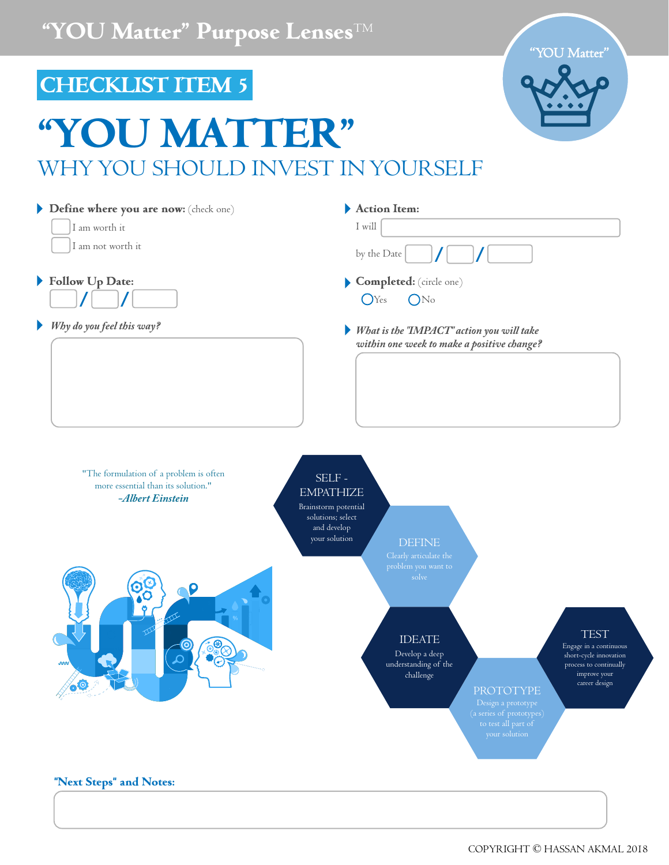"YOU Matter"

## **CHECKLIST ITEM 5**

# **"YOU MATTER"** WHY YOU SHOULD INVEST IN YOURSELF

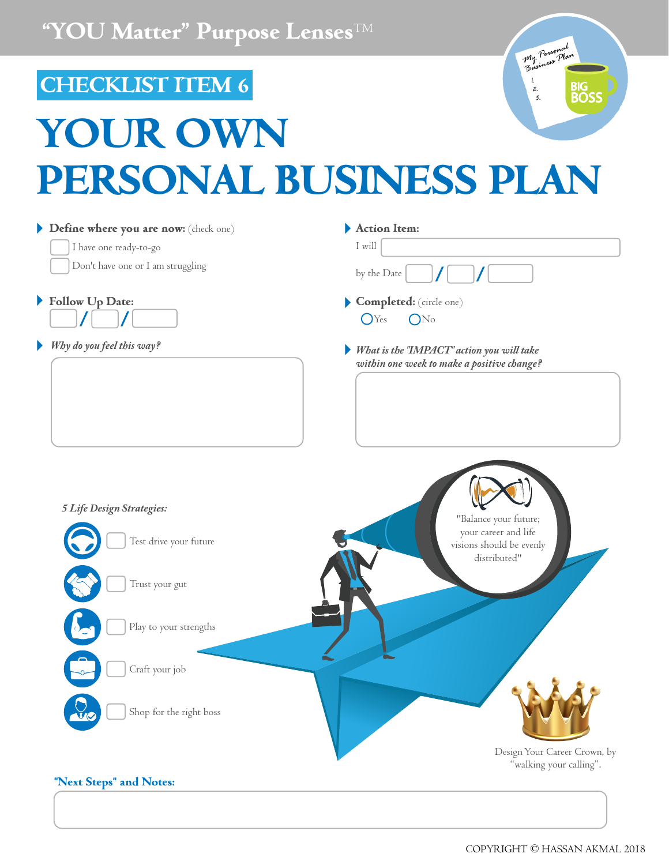